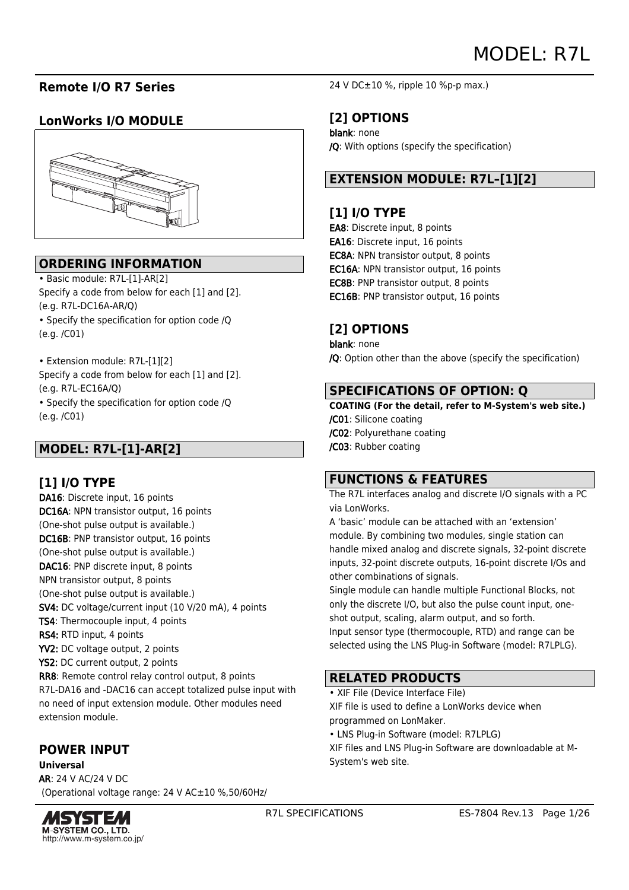# **Remote I/O R7 Series**

# **LonWorks I/O MODULE**



# **ORDERING INFORMATION**

• Basic module: R7L-[1]-AR[2] Specify a code from below for each [1] and [2]. (e.g. R7L-DC16A-AR/Q)

• Specify the specification for option code /Q

(e.g. /C01)

• Extension module: R7L-[1][2] Specify a code from below for each [1] and [2]. (e.g. R7L-EC16A/Q)

• Specify the specification for option code /Q (e.g. /C01)

# **MODEL: R7L-[1]-AR[2]**

# **[1] I/O TYPE**

DA16: Discrete input, 16 points DC16A: NPN transistor output, 16 points (One-shot pulse output is available.) DC16B: PNP transistor output, 16 points (One-shot pulse output is available.) DAC16: PNP discrete input, 8 points NPN transistor output, 8 points (One-shot pulse output is available.) SV4: DC voltage/current input (10 V/20 mA), 4 points TS4: Thermocouple input, 4 points RS4: RTD input, 4 points YV2: DC voltage output, 2 points YS2: DC current output, 2 points RR8: Remote control relay control output, 8 points R7L-DA16 and -DAC16 can accept totalized pulse input with no need of input extension module. Other modules need extension module.

# **POWER INPUT**

**Universal** AR: 24 V AC/24 V DC (Operational voltage range: 24 V AC±10 %,50/60Hz/



24 V DC±10 %, ripple 10 %p-p max.)

# **[2] OPTIONS**

blank: none /Q: With options (specify the specification)

# **EXTENSION MODULE: R7L–[1][2]**

# **[1] I/O TYPE**

EA8: Discrete input, 8 points EA16: Discrete input, 16 points EC8A: NPN transistor output, 8 points EC16A: NPN transistor output, 16 points EC8B: PNP transistor output, 8 points EC16B: PNP transistor output, 16 points

# **[2] OPTIONS**

blank: none /Q: Option other than the above (specify the specification)

## **SPECIFICATIONS OF OPTION: Q**

**COATING (For the detail, refer to M-System's web site.)** /C01: Silicone coating /C02: Polyurethane coating /C03: Rubber coating

# **FUNCTIONS & FEATURES**

The R7L interfaces analog and discrete I/O signals with a PC via LonWorks.

A 'basic' module can be attached with an 'extension' module. By combining two modules, single station can handle mixed analog and discrete signals, 32-point discrete inputs, 32-point discrete outputs, 16-point discrete I/Os and other combinations of signals.

Single module can handle multiple Functional Blocks, not only the discrete I/O, but also the pulse count input, oneshot output, scaling, alarm output, and so forth. Input sensor type (thermocouple, RTD) and range can be

selected using the LNS Plug-in Software (model: R7LPLG).

# **RELATED PRODUCTS**

• XIF File (Device Interface File)

XIF file is used to define a LonWorks device when programmed on LonMaker.

• LNS Plug-in Software (model: R7LPLG)

XIF files and LNS Plug-in Software are downloadable at M-System's web site.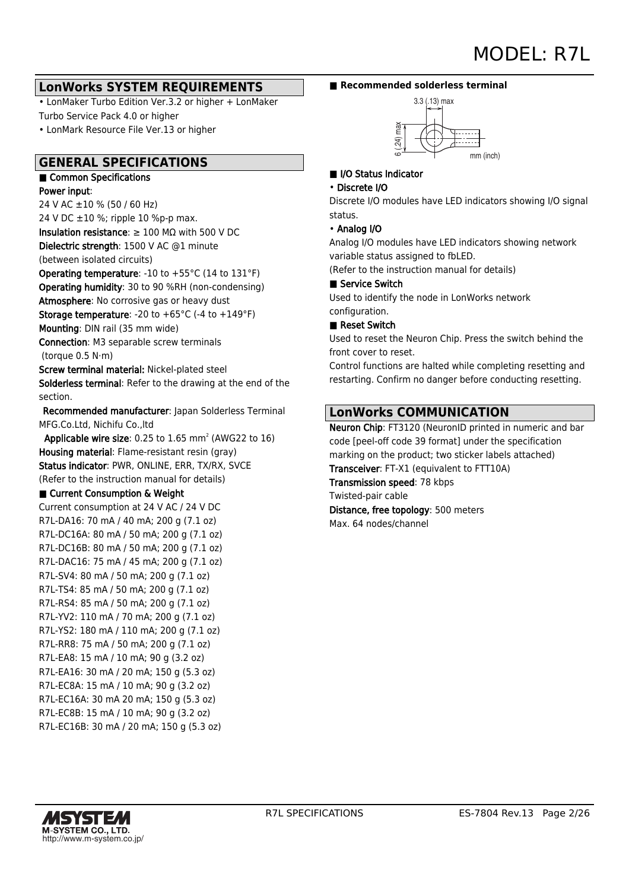## **LonWorks SYSTEM REQUIREMENTS**

• LonMaker Turbo Edition Ver.3.2 or higher + LonMaker Turbo Service Pack 4.0 or higher

• LonMark Resource File Ver.13 or higher

## **GENERAL SPECIFICATIONS**

#### ■ Common Specifications Power input:

24 V AC ±10 % (50 / 60 Hz)

24 V DC  $\pm 10$  %; ripple 10 %p-p max. Insulation resistance:  $\geq 100$  M $\Omega$  with 500 V DC Dielectric strength: 1500 V AC @1 minute

(between isolated circuits)

Operating temperature: -10 to +55°C (14 to 131°F) Operating humidity: 30 to 90 %RH (non-condensing) Atmosphere: No corrosive gas or heavy dust **Storage temperature:** -20 to  $+65^{\circ}$ C (-4 to  $+149^{\circ}$ F) Mounting: DIN rail (35 mm wide)

Connection: M3 separable screw terminals (torque 0.5 N·m)

Screw terminal material: Nickel-plated steel Solderless terminal: Refer to the drawing at the end of the section.

 Recommended manufacturer: Japan Solderless Terminal MFG.Co.Ltd, Nichifu Co.,ltd

**Applicable wire size**: 0.25 to 1.65 mm<sup>2</sup> (AWG22 to 16) Housing material: Flame-resistant resin (gray) Status indicator: PWR, ONLINE, ERR, TX/RX, SVCE (Refer to the instruction manual for details)

## ■ Current Consumption & Weight

Current consumption at 24 V AC / 24 V DC R7L-DA16: 70 mA / 40 mA; 200 g (7.1 oz) R7L-DC16A: 80 mA / 50 mA; 200 g (7.1 oz) R7L-DC16B: 80 mA / 50 mA; 200 g (7.1 oz) R7L-DAC16: 75 mA / 45 mA; 200 g (7.1 oz) R7L-SV4: 80 mA / 50 mA; 200 g (7.1 oz) R7L-TS4: 85 mA / 50 mA; 200 g (7.1 oz) R7L-RS4: 85 mA / 50 mA; 200 g (7.1 oz) R7L-YV2: 110 mA / 70 mA; 200 g (7.1 oz) R7L-YS2: 180 mA / 110 mA; 200 g (7.1 oz) R7L-RR8: 75 mA / 50 mA; 200 g (7.1 oz) R7L-EA8: 15 mA / 10 mA; 90 g (3.2 oz) R7L-EA16: 30 mA / 20 mA; 150 g (5.3 oz) R7L-EC8A: 15 mA / 10 mA; 90 g (3.2 oz) R7L-EC16A: 30 mA 20 mA; 150 g (5.3 oz) R7L-EC8B: 15 mA / 10 mA; 90 g (3.2 oz) R7L-EC16B: 30 mA / 20 mA; 150 g (5.3 oz)

### ■ Recommended solderless terminal



## ■ I/O Status Indicator

#### • Discrete I/O

Discrete I/O modules have LED indicators showing I/O signal status.

## • Analog I/O

Analog I/O modules have LED indicators showing network variable status assigned to fbLED.

(Refer to the instruction manual for details)

#### ■ Service Switch

Used to identify the node in LonWorks network configuration.

## ■ Reset Switch

Used to reset the Neuron Chip. Press the switch behind the front cover to reset.

Control functions are halted while completing resetting and restarting. Confirm no danger before conducting resetting.

# **LonWorks COMMUNICATION**

Neuron Chip: FT3120 (NeuronID printed in numeric and bar code [peel-off code 39 format] under the specification marking on the product; two sticker labels attached) Transceiver: FT-X1 (equivalent to FTT10A) Transmission speed: 78 kbps Twisted-pair cable

Distance, free topology: 500 meters Max. 64 nodes/channel

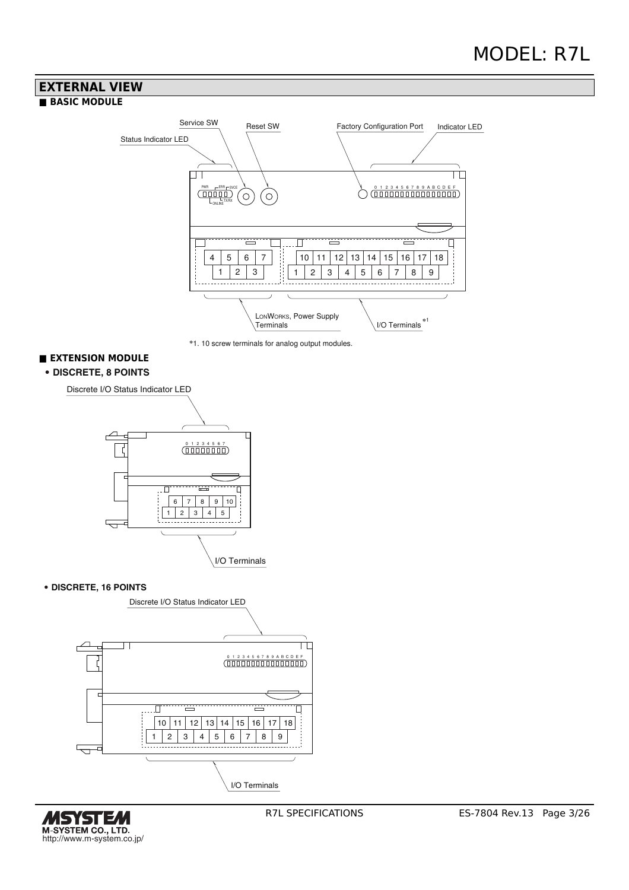# **EXTERNAL VIEW**

## **■ BASIC MODULE**





## **■ EXTENSION MODULE**

#### • **DISCRETE, 8 POINTS**

Discrete I/O Status Indicator LED



#### • **DISCRETE, 16 POINTS**



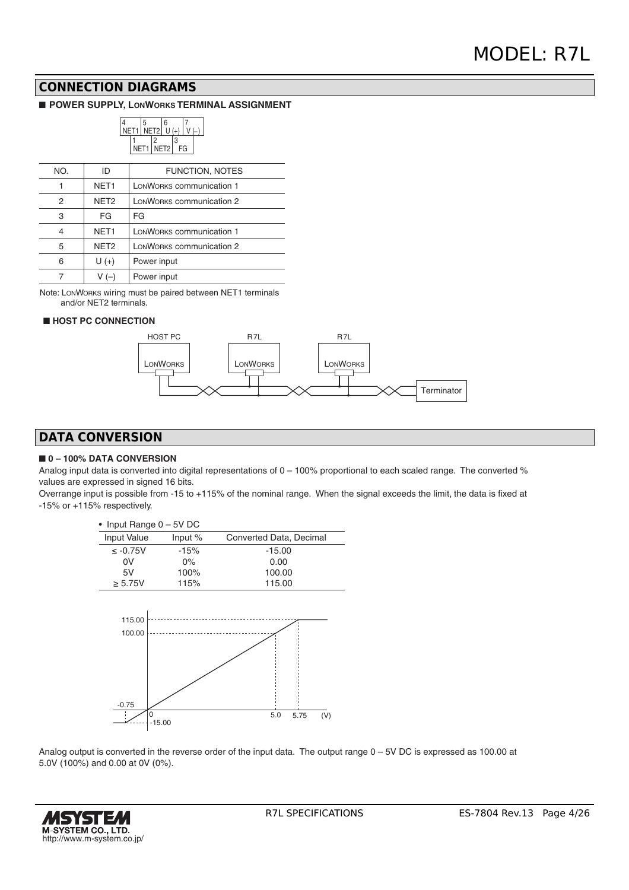## **CONNECTION DIAGRAMS**

#### ■ **POWER SUPPLY, LONWORKS TERMINAL ASSIGNMENT**



| NO. | ID               | <b>FUNCTION, NOTES</b>   |
|-----|------------------|--------------------------|
|     | NET <sub>1</sub> | LONWORKS communication 1 |
| 2   | NET <sub>2</sub> | LONWORKS communication 2 |
| 3   | FG               | FG                       |
| 4   | NET <sub>1</sub> | LONWORKS communication 1 |
| 5   | NET <sub>2</sub> | LONWORKS communication 2 |
| 6   | $U(+)$           | Power input              |
|     | V (–)            | Power input              |

Note: LONWORKS wiring must be paired between NET1 terminals and/or NET2 terminals.

#### ■ **HOST PC CONNECTION**



# **DATA CONVERSION**

#### ■ **0 – 100% DATA CONVERSION**

Analog input data is converted into digital representations of 0 – 100% proportional to each scaled range. The converted % values are expressed in signed 16 bits.

Overrange input is possible from -15 to +115% of the nominal range. When the signal exceeds the limit, the data is fixed at -15% or +115% respectively.

| • Input Range $0 - 5V$ DC |           |                         |
|---------------------------|-----------|-------------------------|
| <b>Input Value</b>        | Input $%$ | Converted Data, Decimal |
| $\leq -0.75V$             | $-15%$    | $-15.00$                |
| 0V                        | $0\%$     | 0.00                    |
| 5V                        | 100%      | 100.00                  |
| $\geq 5.75V$              | 115%      | 115.00                  |
| 115.00<br>100.00          |           |                         |

-0.75 。<br>-15.00 0 5.0 5.75 (V)

Analog output is converted in the reverse order of the input data. The output range 0 – 5V DC is expressed as 100.00 at 5.0V (100%) and 0.00 at 0V (0%).

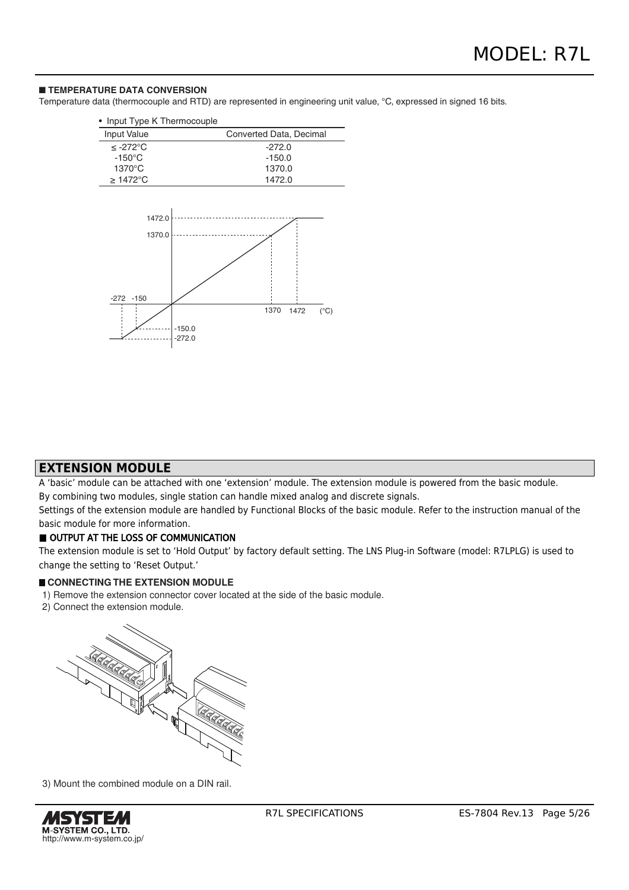#### ■ **TEMPERATURE DATA CONVERSION**

Temperature data (thermocouple and RTD) are represented in engineering unit value, °C, expressed in signed 16 bits.

| Input Type K Thermocouple<br>$\bullet$ |                               |
|----------------------------------------|-------------------------------|
| Input Value                            | Converted Data, Decimal       |
| ≤ -272°C                               | $-272.0$                      |
| $-150^{\circ}$ C                       | $-150.0$                      |
| 1370°C                                 | 1370.0                        |
| $\geq$ 1472°C                          | 1472.0                        |
| 1472.0<br>1370.0<br>$-150$<br>$-272$   | $(^{\circ}C)$<br>1370<br>1472 |
|                                        | $-150.0$<br>$-272.0$          |

## **EXTENSION MODULE**

A 'basic' module can be attached with one 'extension' module. The extension module is powered from the basic module.

By combining two modules, single station can handle mixed analog and discrete signals.

Settings of the extension module are handled by Functional Blocks of the basic module. Refer to the instruction manual of the basic module for more information.

#### OUTPUT AT THE LOSS OF COMMUNICATION

The extension module is set to 'Hold Output' by factory default setting. The LNS Plug-in Software (model: R7LPLG) is used to change the setting to 'Reset Output.'

#### **CONNECTING THE EXTENSION MODULE**

- 1) Remove the extension connector cover located at the side of the basic module.
- 2) Connect the extension module.



3) Mount the combined module on a DIN rail.

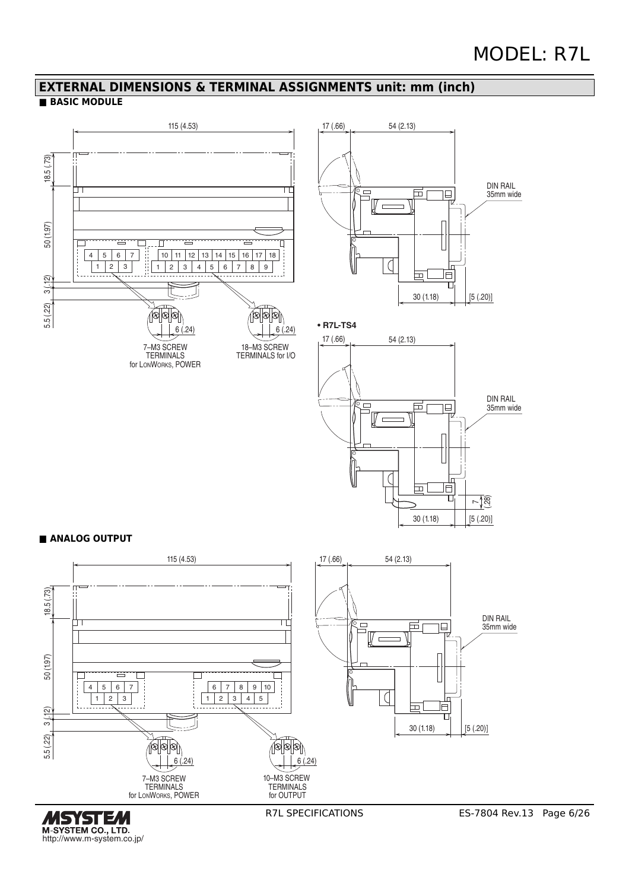# **EXTERNAL DIMENSIONS & TERMINAL ASSIGNMENTS unit: mm (inch)**

## **■ BASIC MODULE**



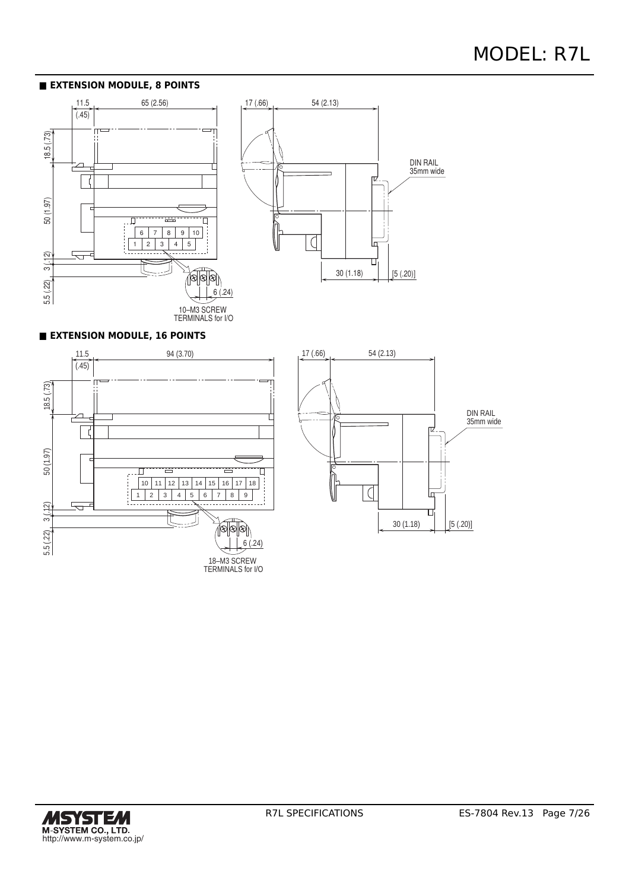#### **■ EXTENSION MODULE, 8 POINTS**





#### **■ EXTENSION MODULE, 16 POINTS**





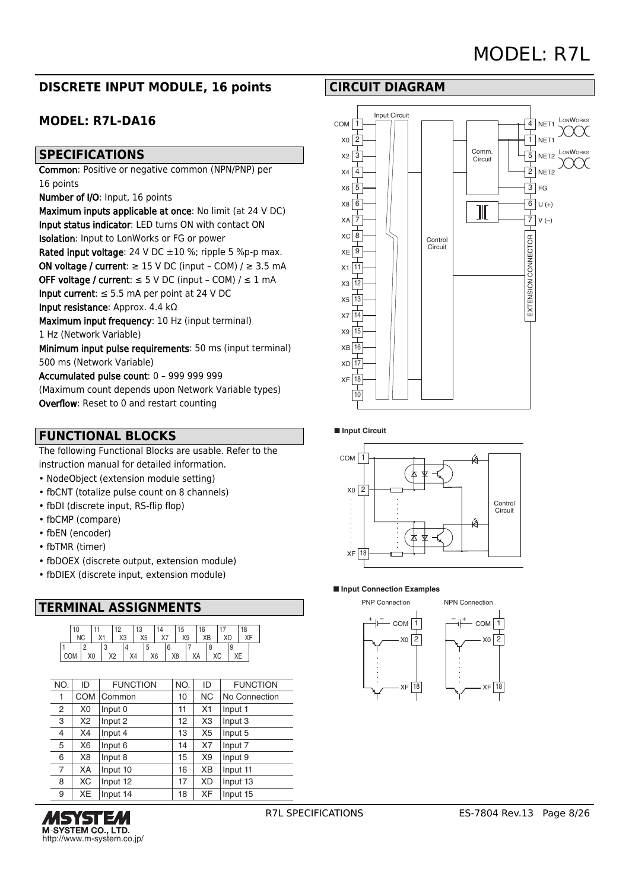# MODEL: R7L

# **DISCRETE INPUT MODULE, 16 points**

# **MODEL: R7L-DA16**

## **SPECIFICATIONS**

Common: Positive or negative common (NPN/PNP) per 16 points

Number of I/O: Input, 16 points

Maximum inputs applicable at once: No limit (at 24 V DC) Input status indicator: LED turns ON with contact ON Isolation: Input to LonWorks or FG or power Rated input voltage: 24 V DC  $\pm 10$  %; ripple 5 %p-p max. ON voltage / current:  $\geq$  15 V DC (input - COM) /  $\geq$  3.5 mA OFF voltage / current:  $\leq$  5 V DC (input - COM) /  $\leq$  1 mA Input current:  $\leq$  5.5 mA per point at 24 V DC

Input resistance: Approx. 4.4 kΩ

Maximum input frequency: 10 Hz (input terminal) 1 Hz (Network Variable)

Minimum input pulse requirements: 50 ms (input terminal) 500 ms (Network Variable)

Accumulated pulse count: 0 – 999 999 999

(Maximum count depends upon Network Variable types) Overflow: Reset to 0 and restart counting

# **FUNCTIONAL BLOCKS**

The following Functional Blocks are usable. Refer to the instruction manual for detailed information.

- NodeObject (extension module setting)
- fbCNT (totalize pulse count on 8 channels)
- fbDI (discrete input, RS-flip flop)
- fbCMP (compare)
- fbEN (encoder)
- fbTMR (timer)
- fbDOEX (discrete output, extension module)
- fbDIEX (discrete input, extension module)

# **TERMINAL ASSIGNMENTS**



| NO. | ID             | <b>FUNCTION</b> | NO. | ID             | <b>FUNCTION</b> |
|-----|----------------|-----------------|-----|----------------|-----------------|
| 1   | <b>COM</b>     | Common          | 10  | <b>NC</b>      | No Connection   |
| 2   | X <sub>0</sub> | Input 0         | 11  | X1             | Input 1         |
| 3   | X2             | Input 2         | 12  | X <sub>3</sub> | Input 3         |
| 4   | X4             | Input 4         | 13  | X <sub>5</sub> | Input 5         |
| 5   | X <sub>6</sub> | Input 6         | 14  | X7             | Input 7         |
| 6   | X8             | Input 8         | 15  | X9             | Input 9         |
| 7   | XA             | Input 10        | 16  | XВ             | Input 11        |
| 8   | ХC             | Input 12        | 17  | XD             | Input 13        |
| 9   | XE             | Input 14        | 18  | <b>XF</b>      | Input 15        |







NPN Connection



#### ■ **Input Circuit**



#### ■ **Input Connection Examples**

1  $X_0$  | 2

XF 18

COM PNP Connection + – +–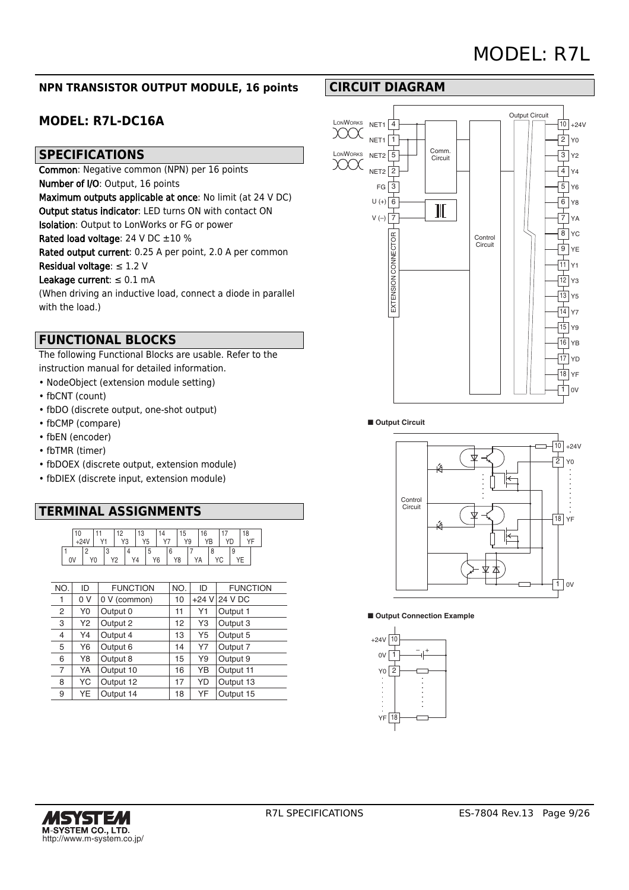## **NPN TRANSISTOR OUTPUT MODULE, 16 points**

# **MODEL: R7L-DC16A**

## **SPECIFICATIONS**

Common: Negative common (NPN) per 16 points Number of I/O: Output, 16 points

Maximum outputs applicable at once: No limit (at 24 V DC)

Output status indicator: LED turns ON with contact ON

Isolation: Output to LonWorks or FG or power

Rated load voltage: 24 V DC ±10 %

Rated output current: 0.25 A per point, 2.0 A per common

Residual voltage: ≤ 1.2 V

#### Leakage current:  $\leq 0.1$  mA

(When driving an inductive load, connect a diode in parallel with the load.)

# **FUNCTIONAL BLOCKS**

The following Functional Blocks are usable. Refer to the instruction manual for detailed information.

- NodeObject (extension module setting)
- fbCNT (count)
- fbDO (discrete output, one-shot output)
- fbCMP (compare)
- fbEN (encoder)
- fbTMR (timer)
- fbDOEX (discrete output, extension module)
- fbDIEX (discrete input, extension module)

# **TERMINAL ASSIGNMENTS**

|    | 10 |    |    | $\sim$     |   | $\sqrt{2}$<br>ن∙ |   | 14             | ט ו | 16          |   | 18 |  |
|----|----|----|----|------------|---|------------------|---|----------------|-----|-------------|---|----|--|
|    |    |    |    | $\sqrt{c}$ | υ |                  |   | $\cdot$ $\sim$ | VQ  |             |   |    |  |
|    |    |    | ۰. |            |   |                  | u |                |     |             |   |    |  |
| 0V |    | Y0 |    |            |   |                  |   | Υ6             | Y8  | $^{\prime}$ | ັ |    |  |

| NO.            | ID  | <b>FUNCTION</b> | NO. | ID | <b>FUNCTION</b> |
|----------------|-----|-----------------|-----|----|-----------------|
| 1              | 0 V | 0 V (common)    | 10  |    | +24 V 24 V DC   |
| 2              | Y0  | Output 0        | 11  | Υ1 | Output 1        |
| 3              | Y2  | Output 2        | 12  | Y3 | Output 3        |
| 4              | Y4  | Output 4        | 13  | Y5 | Output 5        |
| 5              | Y6  | Output 6        | 14  | Y7 | Output 7        |
| 6              | Y8  | Output 8        | 15  | Y9 | Output 9        |
| $\overline{7}$ | YA  | Output 10       | 16  | YΒ | Output 11       |
| 8              | YC  | Output 12       | 17  | YD | Output 13       |
| 9              | YE  | Output 14       | 18  | YF | Output 15       |



#### ■ Output Circuit





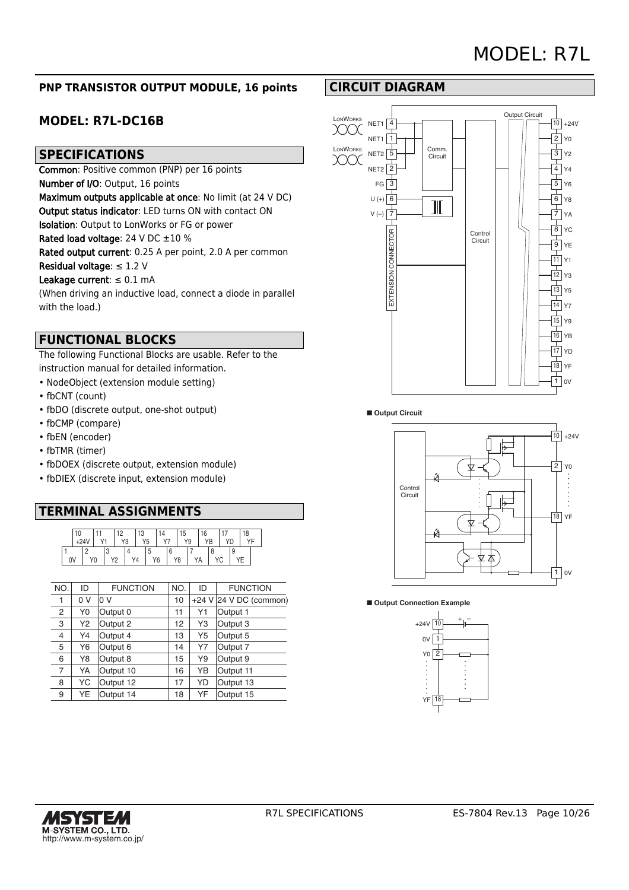## **PNP TRANSISTOR OUTPUT MODULE, 16 points**

# **MODEL: R7L-DC16B**

## **SPECIFICATIONS**

Common: Positive common (PNP) per 16 points Number of I/O: Output, 16 points Maximum outputs applicable at once: No limit (at 24 V DC) Output status indicator: LED turns ON with contact ON Isolation: Output to LonWorks or FG or power Rated load voltage: 24 V DC  $\pm 10$  % Rated output current: 0.25 A per point, 2.0 A per common

Residual voltage: ≤ 1.2 V

#### Leakage current:  $\leq 0.1$  mA

(When driving an inductive load, connect a diode in parallel with the load.)

## **FUNCTIONAL BLOCKS**

The following Functional Blocks are usable. Refer to the instruction manual for detailed information.

- NodeObject (extension module setting)
- fbCNT (count)
- fbDO (discrete output, one-shot output)
- fbCMP (compare)
- fbEN (encoder)
- fbTMR (timer)
- fbDOEX (discrete output, extension module)
- fbDIEX (discrete input, extension module)

# **TERMINAL ASSIGNMENTS**

| 10 |                |  | ٠        |   | َن' |    |                | C  | 6              |    |   | 18 |  |
|----|----------------|--|----------|---|-----|----|----------------|----|----------------|----|---|----|--|
|    |                |  | VO       | υ |     | r5 | $\cdot$ $\sim$ | Y9 |                | /B |   |    |  |
|    |                |  |          |   |     | u  |                |    |                |    |   |    |  |
| 0V | Y <sub>0</sub> |  | <u>.</u> |   |     |    | Y6             | Y8 | $\overline{a}$ |    | ◡ |    |  |

| NO.            | ID  | <b>FUNCTION</b> | NO. | ID             | <b>FUNCTION</b>        |
|----------------|-----|-----------------|-----|----------------|------------------------|
| 1              | 0 V | 0 V             | 10  |                | +24 V 24 V DC (common) |
| 2              | Y0  | Output 0        | 11  | Y1             | Output 1               |
| 3              | Y2  | Output 2        | 12  | Y3             | Output 3               |
| $\overline{4}$ | Y4  | Output 4        | 13  | Y <sub>5</sub> | Output 5               |
| 5              | Y6  | Output 6        | 14  | Y7             | Output 7               |
| 6              | Y8  | Output 8        | 15  | Y9             | Output 9               |
| $\overline{7}$ | YA  | Output 10       | 16  | YΒ             | Output 11              |
| 8              | YC  | Output 12       | 17  | YD             | Output 13              |
| 9              | YE  | Output 14       | 18  | YF             | Output 15              |

# **CIRCUIT DIAGRAM**









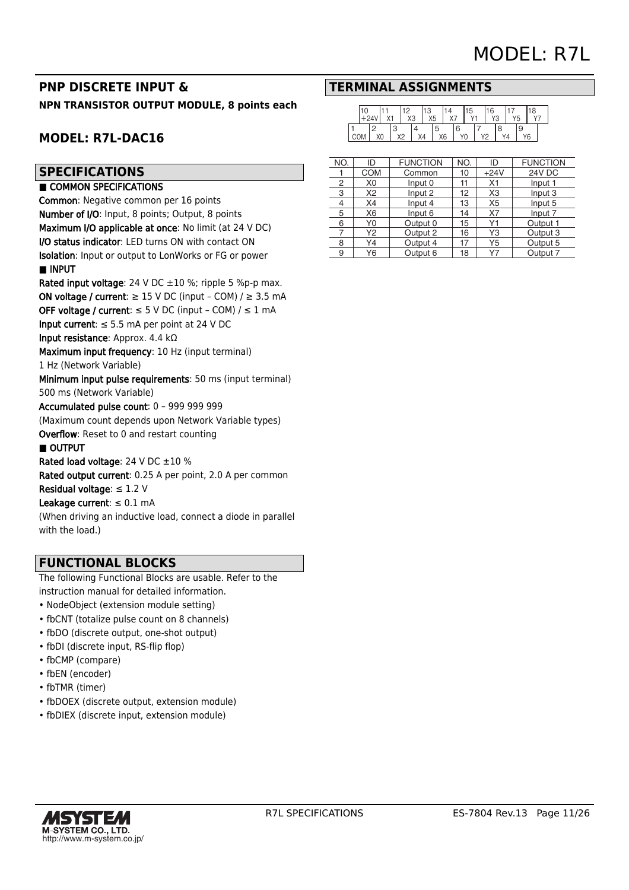# **PNP DISCRETE INPUT & NPN TRANSISTOR OUTPUT MODULE, 8 points each**

# **MODEL: R7L-DAC16**

## **SPECIFICATIONS**

#### ■ COMMON SPECIFICATIONS

Common: Negative common per 16 points Number of I/O: Input, 8 points; Output, 8 points Maximum I/O applicable at once: No limit (at 24 V DC) I/O status indicator: LED turns ON with contact ON Isolation: Input or output to LonWorks or FG or power ■ INPUT

Rated input voltage: 24 V DC ±10 %; ripple 5 %p-p max. ON voltage / current:  $\geq$  15 V DC (input – COM) /  $\geq$  3.5 mA OFF voltage / current:  $\leq$  5 V DC (input - COM) /  $\leq$  1 mA

Input current:  $\leq$  5.5 mA per point at 24 V DC

Input resistance: Approx. 4.4 kΩ

Maximum input frequency: 10 Hz (input terminal)

1 Hz (Network Variable)

Minimum input pulse requirements: 50 ms (input terminal) 500 ms (Network Variable)

Accumulated pulse count: 0 – 999 999 999

(Maximum count depends upon Network Variable types) Overflow: Reset to 0 and restart counting

#### ■ OUTPUT

Rated load voltage: 24 V DC  $\pm 10$  %

Rated output current: 0.25 A per point, 2.0 A per common Residual voltage:  $\leq$  1.2 V

Leakage current:  $\leq 0.1$  mA

(When driving an inductive load, connect a diode in parallel with the load.)

# **FUNCTIONAL BLOCKS**

The following Functional Blocks are usable. Refer to the instruction manual for detailed information.

- NodeObject (extension module setting)
- fbCNT (totalize pulse count on 8 channels)
- fbDO (discrete output, one-shot output)
- fbDI (discrete input, RS-flip flop)
- fbCMP (compare)
- fbEN (encoder)
- fbTMR (timer)
- fbDOEX (discrete output, extension module)
- fbDIEX (discrete input, extension module)

## **TERMINAL ASSIGNMENTS**

|    |    |          | $\sim$<br>XЗ | 1 2<br>X <sub>5</sub> |                     | $\cdots$ |   | b  |              | 16<br>$\sqrt{c}$ | ∙ ت | ۰ | 18 |  |
|----|----|----------|--------------|-----------------------|---------------------|----------|---|----|--------------|------------------|-----|---|----|--|
| UM | X0 | v٥<br>୵୵ |              | X4                    | O<br>X <sub>6</sub> |          | 6 | Y0 | $V^{\prime}$ | ∼                | Yд  | ë | Υ6 |  |

| NO. | ID             | <b>FUNCTION</b> | NO. | ID             | <b>FUNCTION</b> |
|-----|----------------|-----------------|-----|----------------|-----------------|
|     | <b>COM</b>     | Common          | 10  | $+24V$         | 24V DC          |
| 2   | X <sub>0</sub> | Input 0         | 11  | X1             | Input 1         |
| 3   | X2             | Input 2         | 12  | X <sub>3</sub> | Input 3         |
| 4   | X4             | Input 4         | 13  | X <sub>5</sub> | Input 5         |
| 5   | X <sub>6</sub> | Input 6         | 14  | X7             | Input 7         |
| 6   | Y0             | Output 0        | 15  | Υ1             | Output 1        |
| 7   | Y2             | Output 2        | 16  | Y3             | Output 3        |
| 8   | Y4             | Output 4        | 17  | Y5             | Output 5        |
| 9   | Υ6             | Output 6        | 18  | Υ7             | Output 7        |

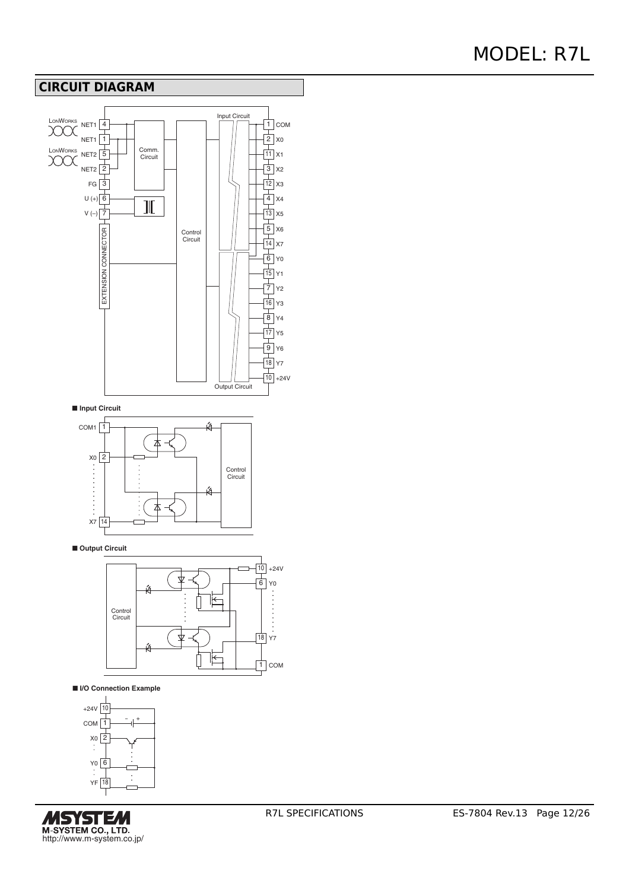# **CIRCUIT DIAGRAM**



■ **I/O Connection Example**



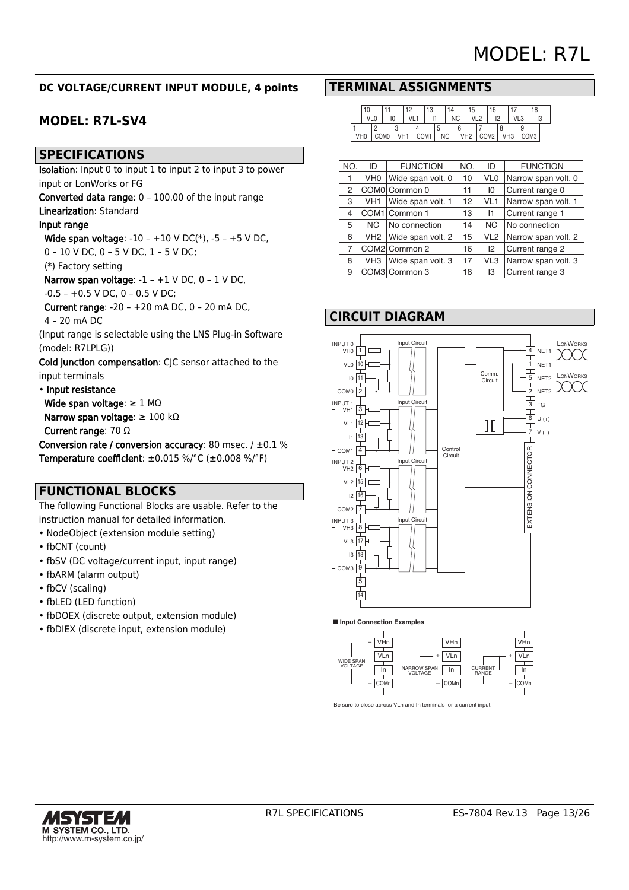## **DC VOLTAGE/CURRENT INPUT MODULE, 4 points**

# **MODEL: R7L-SV4**

## **SPECIFICATIONS**

Isolation: Input 0 to input 1 to input 2 to input 3 to power input or LonWorks or FG

Converted data range: 0 – 100.00 of the input range Linearization: Standard

## Input range

 Wide span voltage: -10 – +10 V DC(\*), -5 – +5 V DC, 0 – 10 V DC, 0 – 5 V DC, 1 – 5 V DC;

(\*) Factory setting

Narrow span voltage: -1 – +1 V DC, 0 – 1 V DC,

#### $-0.5 - +0.5$  V DC, 0  $- 0.5$  V DC;

 Current range: -20 – +20 mA DC, 0 – 20 mA DC, 4 – 20 mA DC

(Input range is selectable using the LNS Plug-in Software (model: R7LPLG))

Cold junction compensation: CJC sensor attached to the input terminals

#### • Input resistance

Wide span voltage:  $\geq 1$  M $\Omega$ 

Narrow span voltage: ≥ 100 kΩ

Current range: 70 Ω

Conversion rate / conversion accuracy: 80 msec.  $/ \pm 0.1$  % Temperature coefficient: ±0.015 %/°C (±0.008 %/°F)

## **FUNCTIONAL BLOCKS**

The following Functional Blocks are usable. Refer to the instruction manual for detailed information.

- NodeObject (extension module setting)
- fbCNT (count)
- fbSV (DC voltage/current input, input range)
- fbARM (alarm output)
- fbCV (scaling)
- fbLED (LED function)
- fbDOEX (discrete output, extension module)
- fbDIEX (discrete input, extension module)

## **TERMINAL ASSIGNMENTS**

|     | 10     |    | 10 | 13 | 14        |                 | 15  | 16  |  |     | 18  |  |
|-----|--------|----|----|----|-----------|-----------------|-----|-----|--|-----|-----|--|
|     | $V1$ 0 | IC |    |    | <b>NC</b> |                 | 110 |     |  | 112 |     |  |
|     |        |    |    |    |           | 6               |     |     |  |     |     |  |
| VHC |        |    |    | M1 | <b>NC</b> | VH <sub>2</sub> |     | CMC |  |     | DM3 |  |

| NO. | ID  | <b>FUNCTION</b>   | NO. | ID              | <b>FUNCTION</b>     |
|-----|-----|-------------------|-----|-----------------|---------------------|
|     | VH0 | Wide span volt. 0 | 10  | VL <sub>0</sub> | Narrow span volt. 0 |
| 2   |     | COM0 Common 0     | 11  | 10              | Current range 0     |
| 3   | VH1 | Wide span volt. 1 | 12  | VL <sub>1</sub> | Narrow span volt. 1 |
| 4   |     | COM1 Common 1     | 13  | 11              | Current range 1     |
| 5   | NC. | No connection     | 14  | <b>NC</b>       | No connection       |
| 6   | VH2 | Wide span volt. 2 | 15  | VL <sub>2</sub> | Narrow span volt. 2 |
| 7   |     | COM2 Common 2     | 16  | 12              | Current range 2     |
| 8   | VH3 | Wide span volt. 3 | 17  | VL3             | Narrow span volt. 3 |
| 9   |     | COM3 Common 3     | 18  | IЗ              | Current range 3     |

## **CIRCUIT DIAGRAM**



■ **Input Connection Examples**



Be sure to close across VLn and In terminals for a current input.

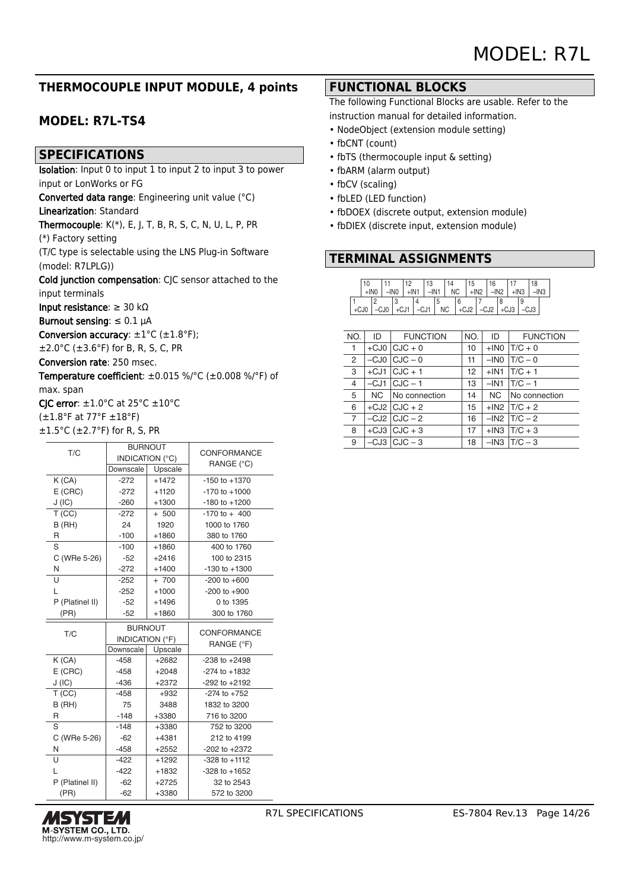# **THERMOCOUPLE INPUT MODULE, 4 points**

# **MODEL: R7L-TS4**

## **SPECIFICATIONS**

Isolation: Input 0 to input 1 to input 2 to input 3 to power input or LonWorks or FG

Converted data range: Engineering unit value (°C) Linearization: Standard

Thermocouple:  $K(*)$ , E, J, T, B, R, S, C, N, U, L, P, PR

(\*) Factory setting

(T/C type is selectable using the LNS Plug-in Software (model: R7LPLG))

Cold junction compensation: CJC sensor attached to the input terminals

Input resistance: ≥ 30 kΩ

Burnout sensing:  $\leq 0.1$   $\mu$ A

Conversion accuracy:  $\pm 1^{\circ}$ C ( $\pm 1.8^{\circ}$ F);

 $±2.0°C$  ( $±3.6°F$ ) for B, R, S, C, PR

Conversion rate: 250 msec.

Temperature coefficient: ±0.015 %/°C (±0.008 %/°F) of max. span

CIC error:  $\pm 1.0^{\circ}$ C at 25 $^{\circ}$ C  $\pm 10^{\circ}$ C

(±1.8°F at 77°F ±18°F)

| $\pm 1.5^{\circ}$ C ( $\pm 2.7^{\circ}$ F) for R, S, PR |  |  |
|---------------------------------------------------------|--|--|
|---------------------------------------------------------|--|--|

| T/C             |                 | <b>BURNOUT</b>  | CONFORMANCE        |
|-----------------|-----------------|-----------------|--------------------|
|                 |                 | INDICATION (°C) |                    |
|                 | Downscale       | Upscale         | RANGE (°C)         |
| K (CA)          | $-272$          | $+1472$         | $-150$ to $+1370$  |
| $E$ (CRC)       | $-272$          | $+1120$         | $-170$ to $+1000$  |
| J(IC)           | $-260$          | $+1300$         | $-180$ to $+1200$  |
| T(CC)           | $-272$          | $+ 500$         | $-170$ to $+400$   |
| B (RH)          | 24              | 1920            | 1000 to 1760       |
| R               | $-100$          | $+1860$         | 380 to 1760        |
| S               | $-100$          | $+1860$         | 400 to 1760        |
| C (WRe 5-26)    | $-52$           | $+2416$         | 100 to 2315        |
| N               | $-272$          | $+1400$         | $-130$ to $+1300$  |
| U               | $-252$          | $+ 700$         | $-200$ to $+600$   |
| L               | $-252$          | $+1000$         | $-200$ to $+900$   |
| P (Platinel II) | $-52$           | $+1496$         | 0 to 1395          |
| (PR)            | $-52$           | $+1860$         | 300 to 1760        |
|                 |                 |                 |                    |
|                 | <b>BURNOUT</b>  |                 |                    |
| T/C             | INDICATION (°F) |                 | <b>CONFORMANCE</b> |
|                 | Downscale       | Upscale         | RANGE (°F)         |
| K(CA)           | $-458$          | $+2682$         | $-238$ to $+2498$  |
| $E$ (CRC)       | $-458$          | $+2048$         | $-274$ to $+1832$  |
| J(IC)           | $-436$          | $+2372$         | $-292$ to $+2192$  |
| T(CC)           | $-458$          | $+932$          | $-274$ to $+752$   |
| B(HH)           | 75              | 3488            | 1832 to 3200       |
| R               | $-148$          | +3380           | 716 to 3200        |
| S               | $-148$          | +3380           | 752 to 3200        |
| C (WRe 5-26)    | $-62$           | $+4381$         | 212 to 4199        |
| N               | $-458$          | $+2552$         | $-202$ to $+2372$  |
| U               | $-422$          | $+1292$         | $-328$ to $+1112$  |
| L               | $-422$          | $+1832$         | $-328$ to $+1652$  |
| P (Platinel II) | $-62$           | $+2725$         | 32 to 2543         |



## **FUNCTIONAL BLOCKS**

The following Functional Blocks are usable. Refer to the instruction manual for detailed information.

- NodeObject (extension module setting)
- fbCNT (count)
- fbTS (thermocouple input & setting)
- fbARM (alarm output)
- fbCV (scaling)
- fbLED (LED function)
- fbDOEX (discrete output, extension module)
- fbDIEX (discrete input, extension module)

# **TERMINAL ASSIGNMENTS**

|  | 10   |        |        | 10     |        | 12<br>IJ |           |           |           | 15 |        | 16   |        |  | 18   |  |
|--|------|--------|--------|--------|--------|----------|-----------|-----------|-----------|----|--------|------|--------|--|------|--|
|  |      |        | $-1N0$ |        |        | $-IN1$   |           | <b>NC</b> |           |    | $+IN2$ |      |        |  | -IN3 |  |
|  |      |        |        |        |        |          |           |           | 6         |    |        |      |        |  |      |  |
|  | +CJU | ו טטי- |        | $+CJ1$ | $-CJ1$ |          | <b>NC</b> |           | $I + CJ2$ |    |        | -CJ2 | $+CJ3$ |  | -CJ3 |  |

| NO.            | ID | <b>FUNCTION</b>    | NO. | ID     | <b>FUNCTION</b>            |
|----------------|----|--------------------|-----|--------|----------------------------|
| 1              |    | $+CJO$ $CJC + 0$   | 10  |        | $+$ INO $\overline{C}$ + 0 |
| $\overline{2}$ |    | $-CJO$ $CJC - 0$   | 11  | $-INO$ | $\vert T/C - 0 \vert$      |
| 3              |    | $+CJ1$ $CJC + 1$   | 12  | $+IN1$ | $\text{T/C} + 1$           |
| 4              |    | $-CJ1$ $CJC - 1$   | 13  | $-IN1$ | $\vert$ T/C $-1$           |
| 5              |    | NC   No connection | 14  | NC .   | No connection              |
| 6              |    | $+CJ2$ CJC $+2$    | 15  |        | $+$ IN2 $\vert$ T/C + 2    |
| 7              |    | $-CJ2$ $CJC - 2$   | 16  |        | $-IN2$ $T/C - 2$           |
| 8              |    | $+CJ3$ $ CJC + 3$  | 17  |        | $+$ IN3 $\text{T/C} + 3$   |
| 9              |    | $-CJ3$ $CJC - 3$   | 18  |        | $-1$ N3 $\text{T/C} - 3$   |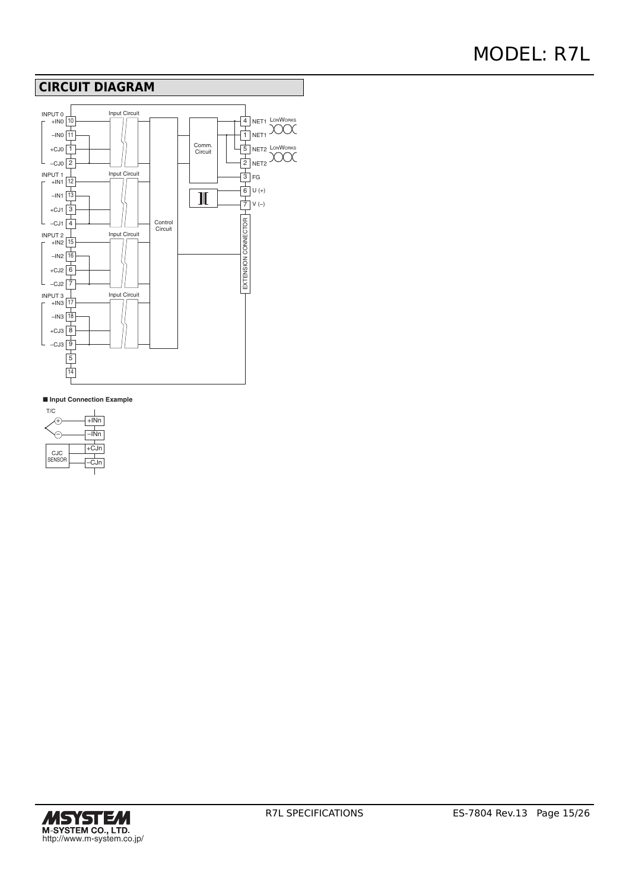## **CIRCUIT DIAGRAM**



| T/C                         |        |        |
|-----------------------------|--------|--------|
|                             | $+INn$ |        |
|                             |        | INn    |
|                             |        | $+CJn$ |
| <b>CJC</b><br><b>SENSOR</b> |        | CJn    |
|                             |        |        |

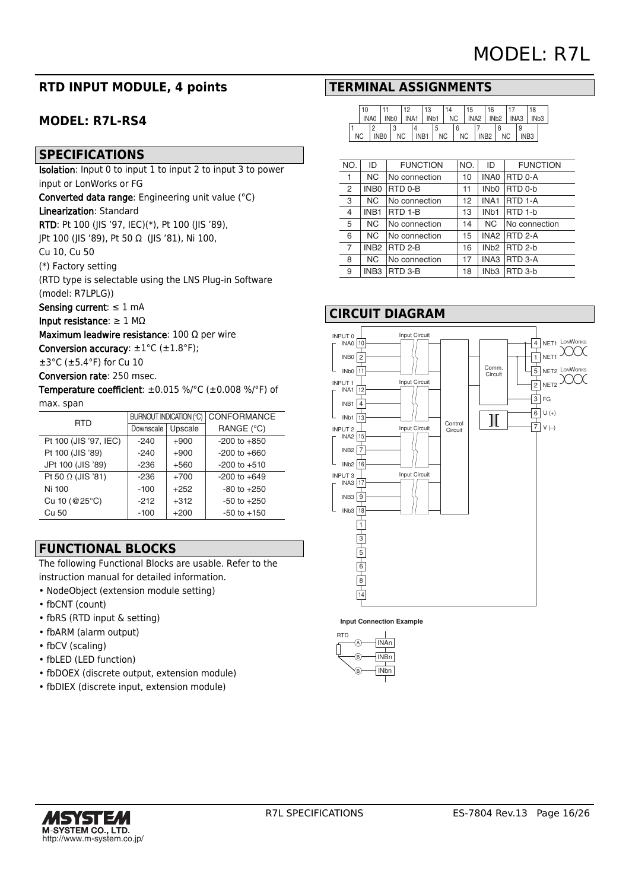# **RTD INPUT MODULE, 4 points**

# **MODEL: R7L-RS4**

## **SPECIFICATIONS**

Isolation: Input 0 to input 1 to input 2 to input 3 to power input or LonWorks or FG

Converted data range: Engineering unit value (°C)

## Linearization: Standard

RTD: Pt 100 (JIS '97, IEC)(\*), Pt 100 (JIS '89),

JPt 100 (JIS '89), Pt 50 Ω (JIS '81), Ni 100,

Cu 10, Cu 50

(\*) Factory setting

(RTD type is selectable using the LNS Plug-in Software (model: R7LPLG))

Sensing current: ≤ 1 mA

Input resistance:  $\geq 1$  M $\Omega$ 

Maximum leadwire resistance: 100 Ω per wire

Conversion accuracy:  $\pm 1^{\circ}$ C ( $\pm 1.8^{\circ}$ F);

±3°C (±5.4°F) for Cu 10

Conversion rate: 250 msec.

Temperature coefficient: ±0.015 %/°C (±0.008 %/°F) of max. span

| <b>RTD</b>               | <b>BURNOUT INDICATION (°C)</b> |         | CONFORMANCE      |
|--------------------------|--------------------------------|---------|------------------|
|                          | Downscale                      | Upscale | RANGE (°C)       |
| Pt 100 (JIS '97, IEC)    | $-240$                         | $+900$  | $-200$ to $+850$ |
| Pt 100 (JIS '89)         | $-240$                         | $+900$  | $-200$ to $+660$ |
| JPt 100 (JIS '89)        | $-236$                         | $+560$  | $-200$ to $+510$ |
| Pt 50 $\Omega$ (JIS '81) | $-236$                         | $+700$  | $-200$ to $+649$ |
| Ni 100                   | $-100$                         | $+252$  | $-80$ to $+250$  |
| Cu 10 (@25°C)            | $-212$                         | $+312$  | $-50$ to $+250$  |
| Cu 50                    | $-100$                         | $+200$  | $-50$ to $+150$  |

# **FUNCTIONAL BLOCKS**

The following Functional Blocks are usable. Refer to the instruction manual for detailed information.

- NodeObject (extension module setting)
- fbCNT (count)
- fbRS (RTD input & setting)
- fbARM (alarm output)
- fbCV (scaling)
- fbLED (LED function)
- fbDOEX (discrete output, extension module)
- fbDIEX (discrete input, extension module)

# **TERMINAL ASSIGNMENTS**

|           | 10          |                  |                   | 10               |      | 10 <sup>2</sup><br>ن ا |                  | '4 |           | 15 |                  | 16               |           |      |                  | 18               |  |
|-----------|-------------|------------------|-------------------|------------------|------|------------------------|------------------|----|-----------|----|------------------|------------------|-----------|------|------------------|------------------|--|
|           | <b>INA0</b> |                  | IN <sub>b</sub> o | INA <sub>1</sub> |      |                        | IN <sub>b1</sub> | ΝC |           |    | INA <sub>2</sub> | IN <sub>b2</sub> |           | INA3 |                  | IN <sub>b3</sub> |  |
|           |             |                  | w                 |                  |      |                        | a                |    | 6         |    |                  |                  |           |      | 9                |                  |  |
| <b>NC</b> |             | INB <sub>0</sub> |                   | <b>NC</b>        | INB1 |                        | <b>NC</b>        |    | <b>NC</b> |    |                  | 'NB <sub>2</sub> | <b>NC</b> |      | INB <sub>3</sub> |                  |  |

| NO.            | ID               | <b>FUNCTION</b> | NO. | ID                | <b>FUNCTION</b> |
|----------------|------------------|-----------------|-----|-------------------|-----------------|
| 1              | NC.              | No connection   | 10  | INA0              | <b>RTD 0-A</b>  |
| 2              | INB <sub>0</sub> | RTD 0-B         | 11  | IN <sub>b</sub> 0 | RTD 0-b         |
| 3              | <b>NC</b>        | No connection   | 12  | INA <sub>1</sub>  | <b>RTD 1-A</b>  |
| 4              | INB <sub>1</sub> | RTD 1-B         | 13  | IN <sub>b</sub> 1 | RTD 1-b         |
| 5              | <b>NC</b>        | No connection   | 14  | <b>NC</b>         | No connection   |
| 6              | <b>NC</b>        | No connection   | 15  |                   | INA2 RTD 2-A    |
| $\overline{7}$ |                  | INB2 RTD 2-B    | 16  |                   | $INb2$ RTD 2-b  |
| 8              | <b>NC</b>        | No connection   | 17  | INA3              | <b>RTD 3-A</b>  |
| 9              | INB <sub>3</sub> | RTD 3-B         | 18  | IN <sub>b3</sub>  | RTD 3-b         |
|                |                  |                 |     |                   |                 |

## **CIRCUIT DIAGRAM**



**Input Connection Example** 



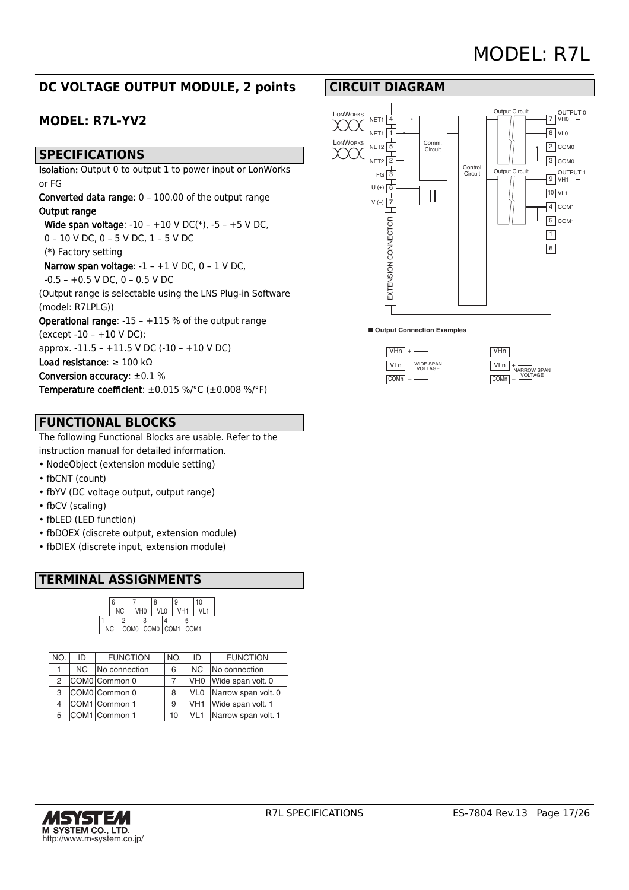# **DC VOLTAGE OUTPUT MODULE, 2 points**

# **MODEL: R7L-YV2**

## **SPECIFICATIONS**

Isolation: Output 0 to output 1 to power input or LonWorks or FG

Converted data range: 0 – 100.00 of the output range Output range

 Wide span voltage: -10 – +10 V DC(\*), -5 – +5 V DC, 0 – 10 V DC, 0 – 5 V DC, 1 – 5 V DC

(\*) Factory setting

 Narrow span voltage: -1 – +1 V DC, 0 – 1 V DC,  $-0.5 - +0.5$  V DC, 0  $- 0.5$  V DC

(Output range is selectable using the LNS Plug-in Software (model: R7LPLG))

Operational range: -15 – +115 % of the output range (except -10 – +10 V DC);

approx. -11.5 – +11.5 V DC (-10 – +10 V DC)

Load resistance: ≥ 100 kΩ

Conversion accuracy: ±0.1 % Temperature coefficient: ±0.015 %/°C (±0.008 %/°F)

# **FUNCTIONAL BLOCKS**

The following Functional Blocks are usable. Refer to the instruction manual for detailed information.

- NodeObject (extension module setting)
- fbCNT (count)
- fbYV (DC voltage output, output range)
- fbCV (scaling)
- fbLED (LED function)
- fbDOEX (discrete output, extension module)
- fbDIEX (discrete input, extension module)

# **TERMINAL ASSIGNMENTS**

|     | 6 |     |  |                 | R                   |  | g               |  | 10 |  |
|-----|---|-----|--|-----------------|---------------------|--|-----------------|--|----|--|
|     |   | NC. |  | VH <sub>0</sub> | VI <sub>0</sub>     |  | VH <sub>1</sub> |  |    |  |
|     |   | っ   |  | Q               |                     |  |                 |  |    |  |
| NC. |   |     |  |                 | COM0 COM0 COM1 COM1 |  |                 |  |    |  |

| NO. | ID  | <b>FUNCTION</b> | NO. | ID              | <b>FUNCTION</b>     |
|-----|-----|-----------------|-----|-----------------|---------------------|
|     | NC. | No connection   | 6   | ΝC              | No connection       |
| 2   |     | COM0 Common 0   |     | VH <sub>0</sub> | Wide span volt. 0   |
| 3   |     | COM0 Common 0   | 8   | VL <sub>0</sub> | Narrow span volt. 0 |
| 4   |     | COM1 Common 1   | 9   | VH <sub>1</sub> | Wide span volt. 1   |
| 5   |     | COM1 Common 1   | 10  | VL1             | Narrow span volt. 1 |

# **CIRCUIT DIAGRAM**





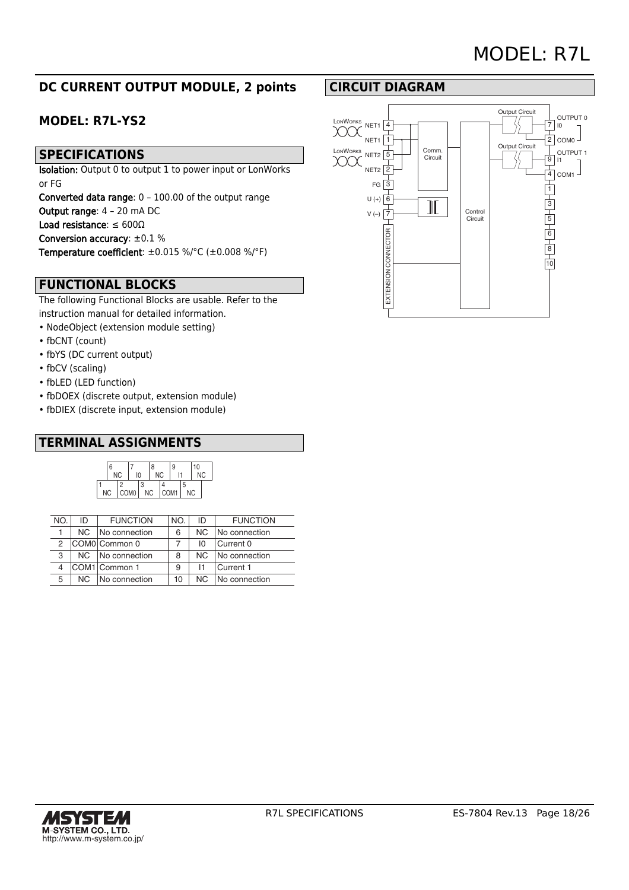# **DC CURRENT OUTPUT MODULE, 2 points**

# **MODEL: R7L-YS2**

## **SPECIFICATIONS**

Isolation: Output 0 to output 1 to power input or LonWorks or FG

Converted data range: 0 – 100.00 of the output range Output range: 4 – 20 mA DC Load resistance: ≤ 600Ω Conversion accuracy: ±0.1 % Temperature coefficient: ±0.015 %/°C (±0.008 %/°F)

# **FUNCTIONAL BLOCKS**

The following Functional Blocks are usable. Refer to the instruction manual for detailed information.

- NodeObject (extension module setting)
- fbCNT (count)
- fbYS (DC current output)
- fbCV (scaling)
- fbLED (LED function)
- fbDOEX (discrete output, extension module)
- fbDIEX (discrete input, extension module)

# **TERMINAL ASSIGNMENTS**



| NO. | ID  | <b>FUNCTION</b> | NO. | ID  | <b>FUNCTION</b> |
|-----|-----|-----------------|-----|-----|-----------------|
|     | NC. | No connection   | 6   | NC. | No connection   |
| 2   |     | COM0 Common 0   |     | ΙO  | Current 0       |
| 3   | NC. | No connection   | 8   | NC. | No connection   |
| 4   |     | COM1 Common 1   | 9   | 11  | Current 1       |
| 5   | NC. | No connection   | 10  | NC. | No connection   |

# **CIRCUIT DIAGRAM**

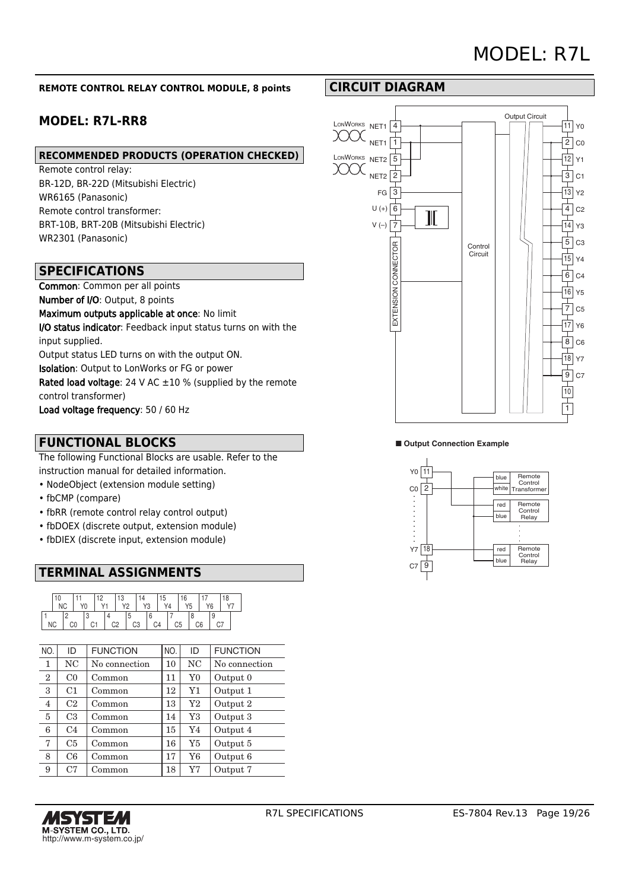#### **REMOTE CONTROL RELAY CONTROL MODULE, 8 points**

# **MODEL: R7L-RR8**

## **RECOMMENDED PRODUCTS (OPERATION CHECKED)**

Remote control relay: BR-12D, BR-22D (Mitsubishi Electric) WR6165 (Panasonic) Remote control transformer: BRT-10B, BRT-20B (Mitsubishi Electric) WR2301 (Panasonic)

## **SPECIFICATIONS**

Common: Common per all points Number of I/O: Output, 8 points Maximum outputs applicable at once: No limit I/O status indicator: Feedback input status turns on with the input supplied. Output status LED turns on with the output ON. Isolation: Output to LonWorks or FG or power Rated load voltage: 24 V AC  $\pm 10$  % (supplied by the remote control transformer) Load voltage frequency: 50 / 60 Hz

## **FUNCTIONAL BLOCKS**

The following Functional Blocks are usable. Refer to the instruction manual for detailed information.

- NodeObject (extension module setting)
- fbCMP (compare)
- fbRR (remote control relay control output)
- fbDOEX (discrete output, extension module)
- fbDIEX (discrete input, extension module)

# **TERMINAL ASSIGNMENTS**

|    |  |    |   |  | c |                 |    |                |                | $\sim$ |    |    |  |  |
|----|--|----|---|--|---|-----------------|----|----------------|----------------|--------|----|----|--|--|
|    |  |    | υ |  |   | $\overline{10}$ | YЗ | V <sub>1</sub> |                |        | Y5 |    |  |  |
|    |  |    |   |  |   |                 |    |                |                |        |    |    |  |  |
| ΝC |  | C0 |   |  |   | C3              |    |                | C <sub>5</sub> |        |    | C6 |  |  |

| NO.          | ID             | <b>FUNCTION</b> | NO. | ID             | <b>FUNCTION</b> |
|--------------|----------------|-----------------|-----|----------------|-----------------|
| 1            | NC.            | No connection   | 10  | NC             | No connection   |
| $\mathbf{2}$ | C <sub>0</sub> | Common          | 11  | $Y_{0}$        | Output 0        |
| 3            | C1             | Common          | 12  | Y1             | Output 1        |
| 4            | C2             | Common          | 13  | Y2             | Output 2        |
| 5            | C <sub>3</sub> | Common          | 14  | Y3             | Output 3        |
| 6            | C <sub>4</sub> | Common          | 15  | Y4             | Output 4        |
| 7            | C <sub>5</sub> | Common          | 16  | Y <sub>5</sub> | Output 5        |
| 8            | C6             | Common          | 17  | Y6             | Output 6        |
| 9            | C <sub>7</sub> | Common          | 18  | Y7             | Output 7        |
|              |                |                 |     |                |                 |



# **CIRCUIT DIAGRAM**



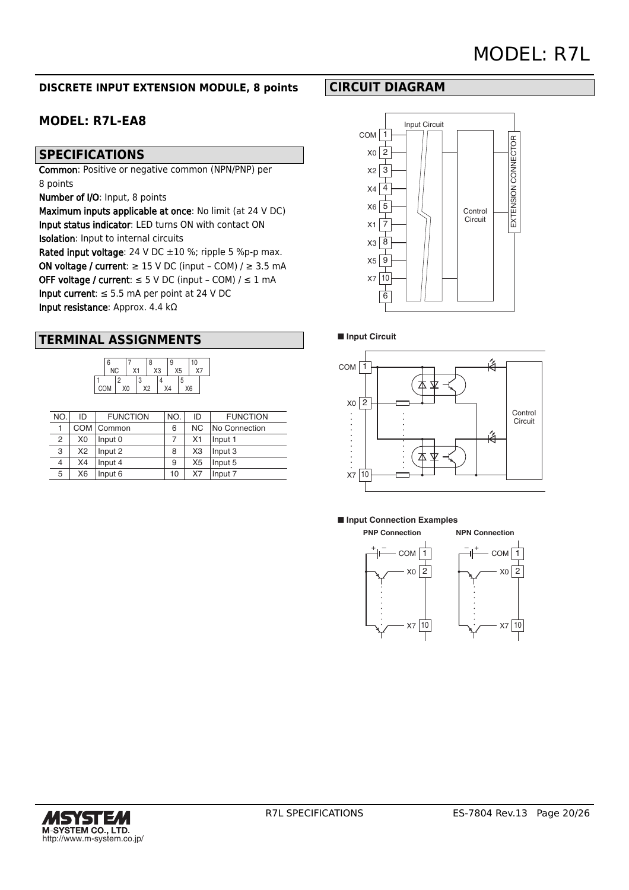# MODEL: R7L

## **DISCRETE INPUT EXTENSION MODULE, 8 points**

# **MODEL: R7L-EA8**

# **SPECIFICATIONS**

Common: Positive or negative common (NPN/PNP) per 8 points

Number of I/O: Input, 8 points

Maximum inputs applicable at once: No limit (at 24 V DC) Input status indicator: LED turns ON with contact ON Isolation: Input to internal circuits Rated input voltage: 24 V DC  $\pm 10$  %; ripple 5 %p-p max.

ON voltage / current:  $\geq$  15 V DC (input - COM) /  $\geq$  3.5 mA OFF voltage / current:  $\leq$  5 V DC (input - COM) /  $\leq$  1 mA Input current:  $\leq$  5.5 mA per point at 24 V DC Input resistance: Approx. 4.4 kΩ

# **TERMINAL ASSIGNMENTS**

|     | 6         |    |    | 8  |    | 9 |    | 10                 |  |
|-----|-----------|----|----|----|----|---|----|--------------------|--|
|     | <b>NC</b> |    | Χ1 |    | X3 |   | X5 | $\chi \rightarrow$ |  |
|     |           | ŋ  |    |    |    |   | 5  |                    |  |
| COM |           | X0 |    | Х2 | X4 |   |    | X <sub>6</sub>     |  |

| NO. | ID | <b>FUNCTION</b> | NO. | ID             | <b>FUNCTION</b> |
|-----|----|-----------------|-----|----------------|-----------------|
|     |    | COM   Common    | 6   | NC.            | No Connection   |
| 2   | X0 | Input 0         | 7   | X1             | Input 1         |
| 3   | X2 | Input 2         | 8   | X <sub>3</sub> | Input 3         |
| 4   | X4 | Input 4         | 9   | X <sub>5</sub> | Input 5         |
| 5   | X6 | Input 6         | 10  | X7             | Input 7         |

## **CIRCUIT DIAGRAM**



#### ■ **Input Circuit**



#### ■ **Input Connection Examples**



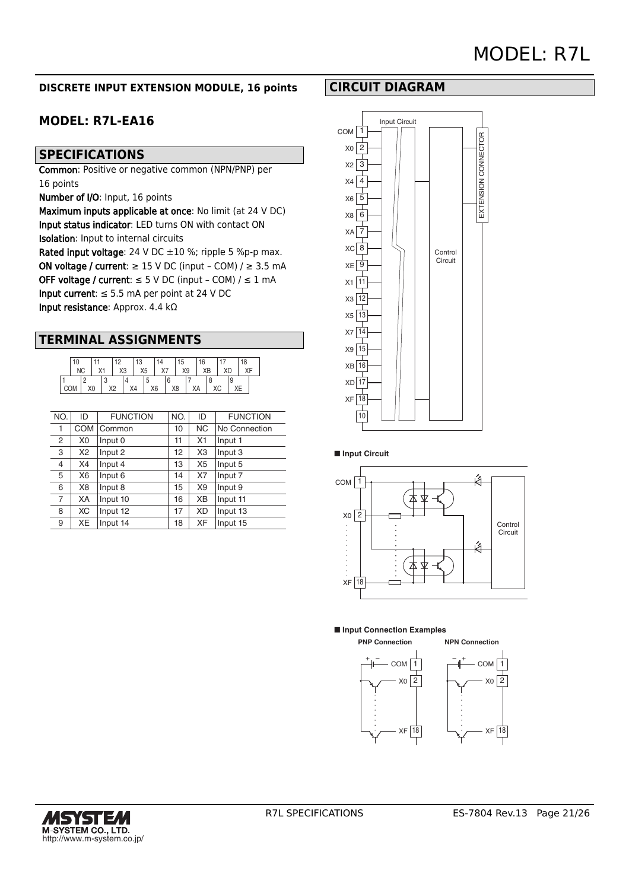## **DISCRETE INPUT EXTENSION MODULE, 16 points**

# **MODEL: R7L-EA16**

# **SPECIFICATIONS**

Common: Positive or negative common (NPN/PNP) per 16 points

Number of I/O: Input, 16 points

Maximum inputs applicable at once: No limit (at 24 V DC) Input status indicator: LED turns ON with contact ON Isolation: Input to internal circuits Rated input voltage: 24 V DC  $\pm 10$  %; ripple 5 %p-p max.

ON voltage / current:  $\geq$  15 V DC (input - COM) /  $\geq$  3.5 mA OFF voltage / current:  $\leq$  5 V DC (input - COM) /  $\leq$  1 mA Input current:  $\leq$  5.5 mA per point at 24 V DC Input resistance: Approx. 4.4 kΩ

# **TERMINAL ASSIGNMENTS**

|     | 10        |  |    |    |                |    | 13             |    |    |    | 15 | 16 |    | 18 |  |
|-----|-----------|--|----|----|----------------|----|----------------|----|----|----|----|----|----|----|--|
|     | <b>NC</b> |  |    |    | X <sub>3</sub> |    | X <sub>5</sub> |    | X7 |    | X9 | XB |    |    |  |
|     |           |  |    |    |                |    |                |    |    |    |    |    |    |    |  |
| COM |           |  | XO | X2 |                | X4 |                | X6 |    | X8 |    | XA | ХC | ХE |  |

| NO.            | ID             | <b>FUNCTION</b> | NO. | ID             | <b>FUNCTION</b> |
|----------------|----------------|-----------------|-----|----------------|-----------------|
| 1              | <b>COM</b>     | Common          | 10  | <b>NC</b>      | No Connection   |
| $\overline{2}$ | X <sub>0</sub> | Input 0         | 11  | X <sub>1</sub> | Input 1         |
| 3              | X2             | Input 2         | 12  | X <sub>3</sub> | Input 3         |
| $\overline{4}$ | X4             | Input 4         | 13  | X <sub>5</sub> | Input 5         |
| 5              | X <sub>6</sub> | Input 6         | 14  | X7             | Input 7         |
| 6              | X <sub>8</sub> | Input 8         | 15  | X <sub>9</sub> | Input 9         |
| $\overline{7}$ | XA             | Input 10        | 16  | XB             | Input 11        |
| 8              | XC             | Input 12        | 17  | XD             | Input 13        |
| 9              | ХE             | Input 14        | 18  | XF             | Input 15        |



#### ■ **Input Circuit**



■ **Input Connection Examples**



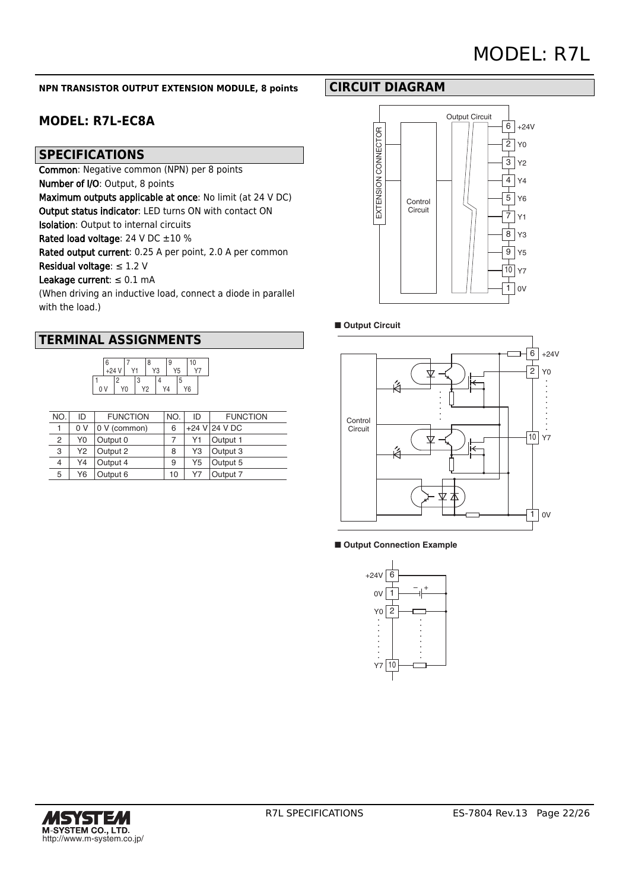#### **NPN TRANSISTOR OUTPUT EXTENSION MODULE, 8 points**

# **MODEL: R7L-EC8A**

## **SPECIFICATIONS**

Common: Negative common (NPN) per 8 points

Number of I/O: Output, 8 points

Maximum outputs applicable at once: No limit (at 24 V DC)

Output status indicator: LED turns ON with contact ON

Isolation: Output to internal circuits

Rated load voltage: 24 V DC  $\pm 10$  %

Rated output current: 0.25 A per point, 2.0 A per common

Residual voltage:  $\leq 1.2$  V

#### Leakage current:  $\leq 0.1$  mA

(When driving an inductive load, connect a diode in parallel with the load.)

## **TERMINAL ASSIGNMENTS**



| NO. | ID  | <b>FUNCTION</b> | NO. | ID | <b>FUNCTION</b>   |
|-----|-----|-----------------|-----|----|-------------------|
|     | 0 V | 0 V (common)    | 6   |    | $+24$ V $24$ V DC |
| 2   | Y0  | Output 0        |     | Υ1 | Output 1          |
| 3   | Y2  | Output 2        | 8   | Y3 | Output 3          |
| 4   | Y4  | Output 4        | 9   | Y5 | Output 5          |
| 5   | Υ6  | Output 6        | 10  | Υ7 | Output 7          |

## **CIRCUIT DIAGRAM**



## ■ Output Circuit



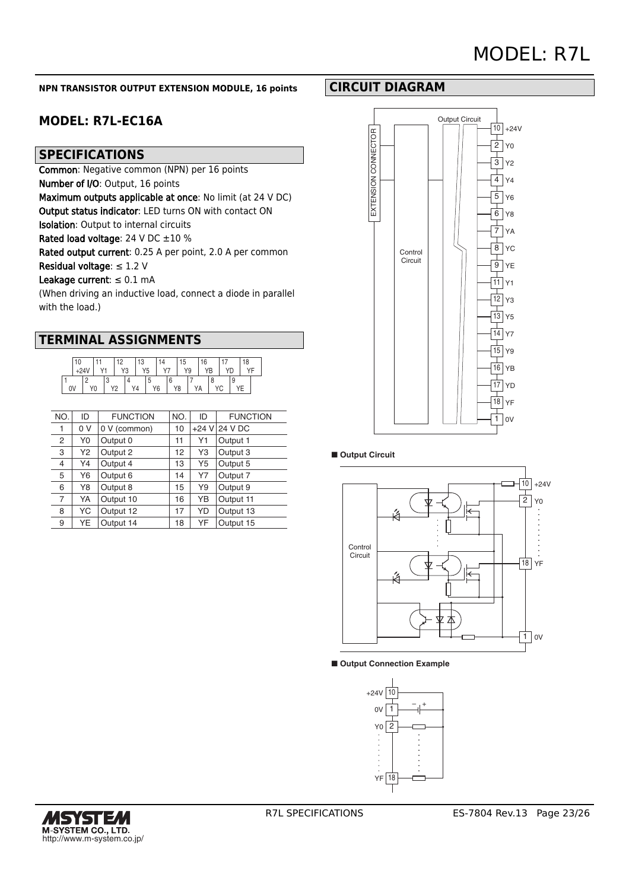#### **NPN TRANSISTOR OUTPUT EXTENSION MODULE, 16 points**

# **MODEL: R7L-EC16A**

## **SPECIFICATIONS**

Common: Negative common (NPN) per 16 points

Number of I/O: Output, 16 points

Maximum outputs applicable at once: No limit (at 24 V DC)

Output status indicator: LED turns ON with contact ON

Isolation: Output to internal circuits

Rated load voltage: 24 V DC  $\pm 10$  %

Rated output current: 0.25 A per point, 2.0 A per common

Residual voltage:  $\leq 1.2$  V

#### Leakage current:  $\leq 0.1$  mA

(When driving an inductive load, connect a diode in parallel with the load.)

| 10 |  | 10 |  | 13<br>Y5<br>V?<br>ು |  | 14 |  | 15<br>Y9 |  | 16 |  |    |  | 18     |  |  |  |
|----|--|----|--|---------------------|--|----|--|----------|--|----|--|----|--|--------|--|--|--|
| 0V |  | Y0 |  | ∸                   |  |    |  | Υ6       |  | Y8 |  | ΥA |  | $\sim$ |  |  |  |

| NO.            | ID  | <b>FUNCTION</b> | NO. | ID | <b>FUNCTION</b> |
|----------------|-----|-----------------|-----|----|-----------------|
| 1              | 0 V | 0 V (common)    | 10  |    | +24 V 24 V DC   |
| 2              | Y0  | Output 0        | 11  | Υ1 | Output 1        |
| 3              | Y2  | Output 2        | 12  | Y3 | Output 3        |
| 4              | Y4  | Output 4        | 13  | Y5 | Output 5        |
| 5              | Y6  | Output 6        | 14  | Y7 | Output 7        |
| 6              | Y8  | Output 8        | 15  | Y9 | Output 9        |
| $\overline{7}$ | YA  | Output 10       | 16  | YΒ | Output 11       |
| 8              | YC  | Output 12       | 17  | YD | Output 13       |
| 9              | YE  | Output 14       | 18  | YF | Output 15       |









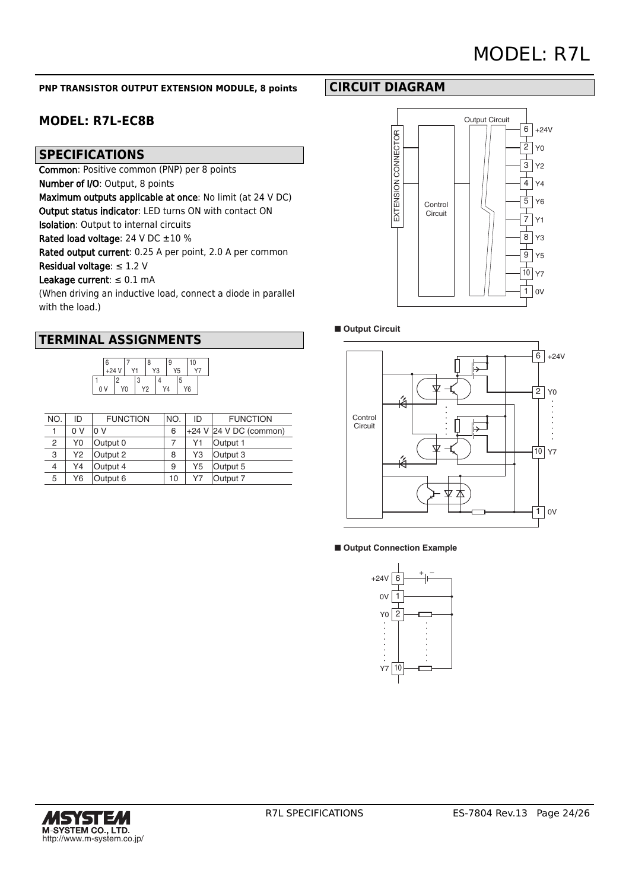# MODEL: R7L

#### **PNP TRANSISTOR OUTPUT EXTENSION MODULE, 8 points**

# **MODEL: R7L-EC8B**

## **SPECIFICATIONS**

Common: Positive common (PNP) per 8 points

Number of I/O: Output, 8 points

Maximum outputs applicable at once: No limit (at 24 V DC)

Output status indicator: LED turns ON with contact ON

Isolation: Output to internal circuits

Rated load voltage: 24 V DC  $\pm 10$  %

Rated output current: 0.25 A per point, 2.0 A per common

Residual voltage:  $\leq 1.2$  V

### Leakage current:  $\leq 0.1$  mA

(When driving an inductive load, connect a diode in parallel with the load.)

## **TERMINAL ASSIGNMENTS**



| NO. | ID  | <b>FUNCTION</b> | NO. | ID | <b>FUNCTION</b>        |
|-----|-----|-----------------|-----|----|------------------------|
|     | 0 V | 0 V             | 6   |    | +24 V 24 V DC (common) |
| 2   | Y0  | Output 0        |     | Υ1 | Output 1               |
| 3   | Υ2  | Output 2        | 8   | Y3 | Output 3               |
| 4   | Y4  | Output 4        | 9   | Y5 | Output 5               |
| 5   | Y6  | Output 6        | 10  | Υ7 | Output 7               |

# **CIRCUIT DIAGRAM**



#### ■ Output Circuit



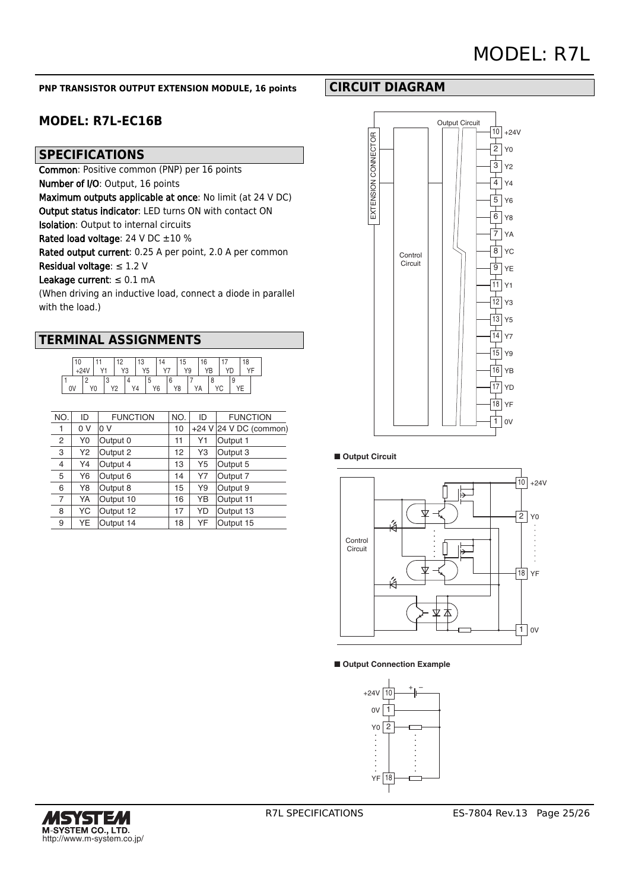#### **PNP TRANSISTOR OUTPUT EXTENSION MODULE, 16 points**

# **MODEL: R7L-EC16B**

## **SPECIFICATIONS**

Common: Positive common (PNP) per 16 points

Number of I/O: Output, 16 points

Maximum outputs applicable at once: No limit (at 24 V DC)

Output status indicator: LED turns ON with contact ON

Isolation: Output to internal circuits

Rated load voltage: 24 V DC  $\pm 10$  %

Rated output current: 0.25 A per point, 2.0 A per common

Residual voltage:  $\leq 1.2$  V

#### Leakage current:  $\leq 0.1$  mA

(When driving an inductive load, connect a diode in parallel with the load.)

|    | 10 |                |  | ء ا            | 13             |                |    | 15 |    | 16 |   |  |  |
|----|----|----------------|--|----------------|----------------|----------------|----|----|----|----|---|--|--|
|    |    |                |  | V <sub>2</sub> | Y <sub>5</sub> | $\cdot$ $\sim$ |    |    | Y9 |    |   |  |  |
|    |    |                |  |                |                |                |    |    |    |    |   |  |  |
| 0V |    | Y <sub>0</sub> |  | ے ا            |                | Y6             | Y8 |    |    | ΥA | U |  |  |

| NO.            | ID  | <b>FUNCTION</b> | NO. | ID             | <b>FUNCTION</b>        |
|----------------|-----|-----------------|-----|----------------|------------------------|
| 1              | 0 V | 0 V             | 10  |                | +24 V 24 V DC (common) |
| 2              | Y0  | Output 0        | 11  | Y1             | Output 1               |
| 3              | Y2  | Output 2        | 12  | Y3             | Output 3               |
| 4              | Y4  | Output 4        | 13  | Y <sub>5</sub> | Output 5               |
| 5              | Y6  | Output 6        | 14  | Y7             | Output 7               |
| 6              | Y8  | Output 8        | 15  | Y9             | Output 9               |
| $\overline{7}$ | YA  | Output 10       | 16  | YB             | Output 11              |
| 8              | YC  | Output 12       | 17  | YD             | Output 13              |
| 9              | YE  | Output 14       | 18  | YF             | Output 15              |